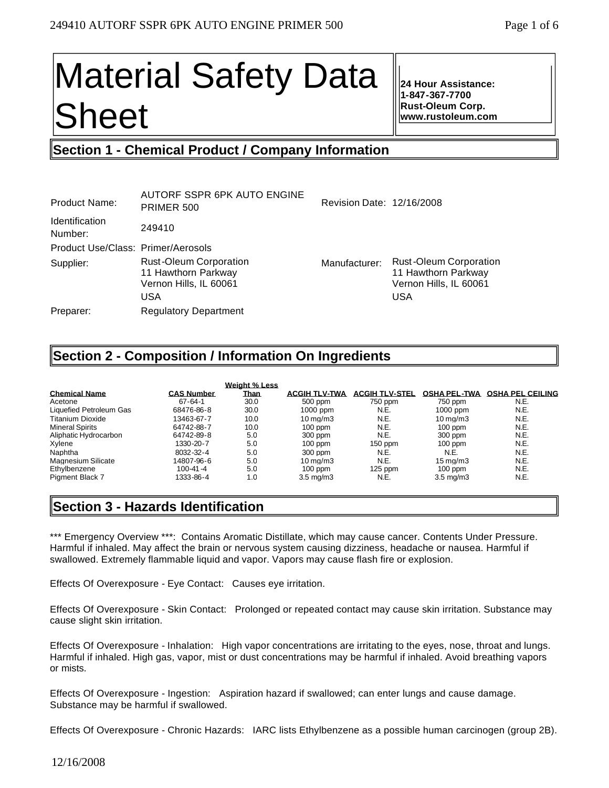# Material Safety Data Sheet

**24 Hour Assistance: 1-847-367-7700 Rust-Oleum Corp. www.rustoleum.com** 

# **Section 1 - Chemical Product / Company Information**

| Product Name:                      | <b>AUTORF SSPR 6PK AUTO ENGINE</b><br>PRIMER 500                                      | Revision Date: 12/16/2008 |                                                                                       |
|------------------------------------|---------------------------------------------------------------------------------------|---------------------------|---------------------------------------------------------------------------------------|
| <b>Identification</b><br>Number:   | 249410                                                                                |                           |                                                                                       |
| Product Use/Class: Primer/Aerosols |                                                                                       |                           |                                                                                       |
| Supplier:                          | <b>Rust-Oleum Corporation</b><br>11 Hawthorn Parkway<br>Vernon Hills, IL 60061<br>USA | Manufacturer:             | <b>Rust-Oleum Corporation</b><br>11 Hawthorn Parkway<br>Vernon Hills, IL 60061<br>USA |
| Preparer:                          | <b>Regulatory Department</b>                                                          |                           |                                                                                       |

## **Section 2 - Composition / Information On Ingredients**

|                           | <b>Weight % Less</b>             |                       |                       |                        |                         |
|---------------------------|----------------------------------|-----------------------|-----------------------|------------------------|-------------------------|
| <b>Chemical Name</b>      | <b>CAS Number</b><br><b>Than</b> | <b>ACGIH TLV-TWA</b>  | <b>ACGIH TLV-STEL</b> | <b>OSHA PEL-TWA</b>    | <b>OSHA PEL CEILING</b> |
| Acetone                   | $67 - 64 - 1$<br>30.0            | 500 ppm               | 750 ppm               | 750 ppm                | N.E.                    |
| Liquefied Petroleum Gas   | 68476-86-8<br>30.0               | $1000$ ppm            | N.E.                  | $1000$ ppm             | N.E.                    |
| Titanium Dioxide          | 13463-67-7<br>10.0               | $10 \,\mathrm{ma/m3}$ | N.E.                  | $10 \,\mathrm{ma/m}$ 3 | N.E.                    |
| <b>Mineral Spirits</b>    | 64742-88-7<br>10.0               | $100$ ppm             | N.E.                  | $100$ ppm              | N.E.                    |
| Aliphatic Hydrocarbon     | 64742-89-8<br>5.0                | 300 ppm               | N.E.                  | 300 ppm                | N.E.                    |
| Xylene                    | 5.0<br>1330-20-7                 | $100$ ppm             | $150$ ppm             | $100$ ppm              | N.E.                    |
| Naphtha                   | 5.0<br>8032-32-4                 | 300 ppm               | N.E.                  | N.E.                   | N.E.                    |
| <b>Magnesium Silicate</b> | 5.0<br>14807-96-6                | $10 \,\mathrm{ma/m3}$ | N.E.                  | $15 \,\mathrm{ma/m3}$  | N.E.                    |
| Ethylbenzene              | $100 - 41 - 4$<br>5.0            | $100$ ppm             | $125$ ppm             | $100$ ppm              | N.E.                    |
| <b>Pigment Black 7</b>    | 1333-86-4<br>1.0                 | $3.5 \text{ mg/m}$    | N.E.                  | $3.5 \text{ mg/m}$     | N.E.                    |

## **Section 3 - Hazards Identification**

\*\*\* Emergency Overview \*\*\*: Contains Aromatic Distillate, which may cause cancer. Contents Under Pressure. Harmful if inhaled. May affect the brain or nervous system causing dizziness, headache or nausea. Harmful if swallowed. Extremely flammable liquid and vapor. Vapors may cause flash fire or explosion.

Effects Of Overexposure - Eye Contact: Causes eye irritation.

Effects Of Overexposure - Skin Contact: Prolonged or repeated contact may cause skin irritation. Substance may cause slight skin irritation.

Effects Of Overexposure - Inhalation: High vapor concentrations are irritating to the eyes, nose, throat and lungs. Harmful if inhaled. High gas, vapor, mist or dust concentrations may be harmful if inhaled. Avoid breathing vapors or mists.

Effects Of Overexposure - Ingestion: Aspiration hazard if swallowed; can enter lungs and cause damage. Substance may be harmful if swallowed.

Effects Of Overexposure - Chronic Hazards: IARC lists Ethylbenzene as a possible human carcinogen (group 2B).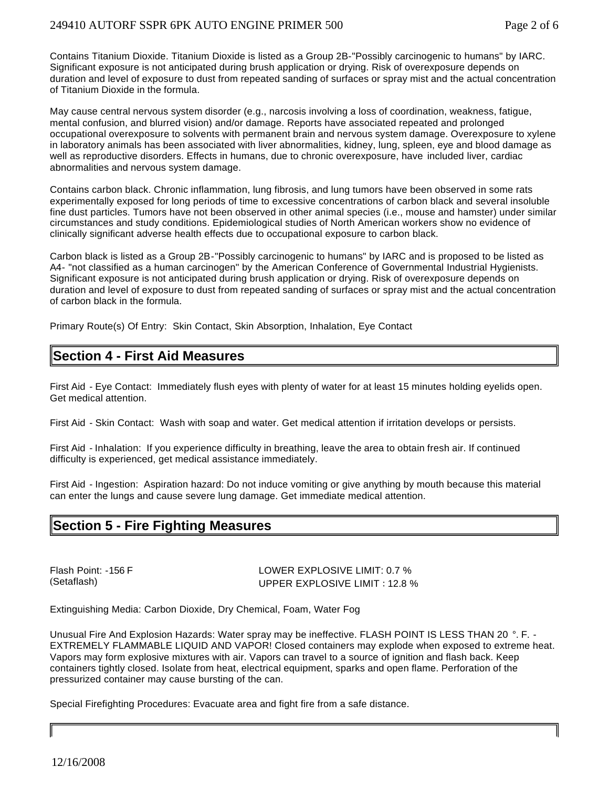II

Contains Titanium Dioxide. Titanium Dioxide is listed as a Group 2B-"Possibly carcinogenic to humans" by IARC. Significant exposure is not anticipated during brush application or drying. Risk of overexposure depends on duration and level of exposure to dust from repeated sanding of surfaces or spray mist and the actual concentration of Titanium Dioxide in the formula.

May cause central nervous system disorder (e.g., narcosis involving a loss of coordination, weakness, fatigue, mental confusion, and blurred vision) and/or damage. Reports have associated repeated and prolonged occupational overexposure to solvents with permanent brain and nervous system damage. Overexposure to xylene in laboratory animals has been associated with liver abnormalities, kidney, lung, spleen, eye and blood damage as well as reproductive disorders. Effects in humans, due to chronic overexposure, have included liver, cardiac abnormalities and nervous system damage.

Contains carbon black. Chronic inflammation, lung fibrosis, and lung tumors have been observed in some rats experimentally exposed for long periods of time to excessive concentrations of carbon black and several insoluble fine dust particles. Tumors have not been observed in other animal species (i.e., mouse and hamster) under similar circumstances and study conditions. Epidemiological studies of North American workers show no evidence of clinically significant adverse health effects due to occupational exposure to carbon black.

Carbon black is listed as a Group 2B-"Possibly carcinogenic to humans" by IARC and is proposed to be listed as A4- "not classified as a human carcinogen" by the American Conference of Governmental Industrial Hygienists. Significant exposure is not anticipated during brush application or drying. Risk of overexposure depends on duration and level of exposure to dust from repeated sanding of surfaces or spray mist and the actual concentration of carbon black in the formula.

Primary Route(s) Of Entry: Skin Contact, Skin Absorption, Inhalation, Eye Contact

## **Section 4 - First Aid Measures**

First Aid - Eye Contact: Immediately flush eyes with plenty of water for at least 15 minutes holding eyelids open. Get medical attention.

First Aid - Skin Contact: Wash with soap and water. Get medical attention if irritation develops or persists.

First Aid - Inhalation: If you experience difficulty in breathing, leave the area to obtain fresh air. If continued difficulty is experienced, get medical assistance immediately.

First Aid - Ingestion: Aspiration hazard: Do not induce vomiting or give anything by mouth because this material can enter the lungs and cause severe lung damage. Get immediate medical attention.

## **Section 5 - Fire Fighting Measures**

Flash Point: -156 F LOWER EXPLOSIVE LIMIT: 0.7 % (Setaflash) UPPER EXPLOSIVE LIMIT : 12.8 %

Extinguishing Media: Carbon Dioxide, Dry Chemical, Foam, Water Fog

Unusual Fire And Explosion Hazards: Water spray may be ineffective. FLASH POINT IS LESS THAN 20 °. F. -EXTREMELY FLAMMABLE LIQUID AND VAPOR! Closed containers may explode when exposed to extreme heat. Vapors may form explosive mixtures with air. Vapors can travel to a source of ignition and flash back. Keep containers tightly closed. Isolate from heat, electrical equipment, sparks and open flame. Perforation of the pressurized container may cause bursting of the can.

Special Firefighting Procedures: Evacuate area and fight fire from a safe distance.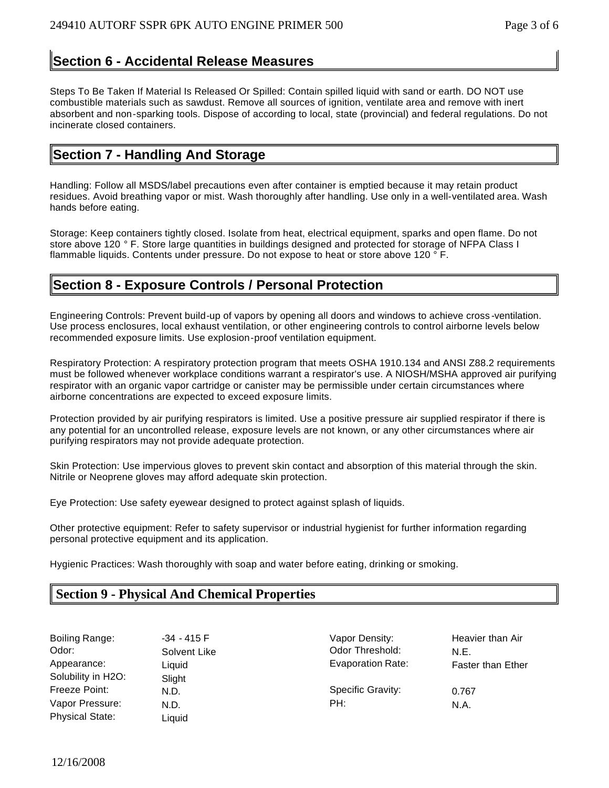## **Section 6 - Accidental Release Measures**

Steps To Be Taken If Material Is Released Or Spilled: Contain spilled liquid with sand or earth. DO NOT use combustible materials such as sawdust. Remove all sources of ignition, ventilate area and remove with inert absorbent and non-sparking tools. Dispose of according to local, state (provincial) and federal regulations. Do not incinerate closed containers.

## **Section 7 - Handling And Storage**

Handling: Follow all MSDS/label precautions even after container is emptied because it may retain product residues. Avoid breathing vapor or mist. Wash thoroughly after handling. Use only in a well-ventilated area. Wash hands before eating.

Storage: Keep containers tightly closed. Isolate from heat, electrical equipment, sparks and open flame. Do not store above 120 ° F. Store large quantities in buildings designed and protected for storage of NFPA Class I flammable liquids. Contents under pressure. Do not expose to heat or store above 120 ° F.

## **Section 8 - Exposure Controls / Personal Protection**

Engineering Controls: Prevent build-up of vapors by opening all doors and windows to achieve cross -ventilation. Use process enclosures, local exhaust ventilation, or other engineering controls to control airborne levels below recommended exposure limits. Use explosion-proof ventilation equipment.

Respiratory Protection: A respiratory protection program that meets OSHA 1910.134 and ANSI Z88.2 requirements must be followed whenever workplace conditions warrant a respirator's use. A NIOSH/MSHA approved air purifying respirator with an organic vapor cartridge or canister may be permissible under certain circumstances where airborne concentrations are expected to exceed exposure limits.

Protection provided by air purifying respirators is limited. Use a positive pressure air supplied respirator if there is any potential for an uncontrolled release, exposure levels are not known, or any other circumstances where air purifying respirators may not provide adequate protection.

Skin Protection: Use impervious gloves to prevent skin contact and absorption of this material through the skin. Nitrile or Neoprene gloves may afford adequate skin protection.

Eye Protection: Use safety eyewear designed to protect against splash of liquids.

Other protective equipment: Refer to safety supervisor or industrial hygienist for further information regarding personal protective equipment and its application.

Hygienic Practices: Wash thoroughly with soap and water before eating, drinking or smoking.

## **Section 9 - Physical And Chemical Properties**

| Boiling Range:         | -34 - 415 F  | Vapor Density:           | Hea  |
|------------------------|--------------|--------------------------|------|
| Odor:                  | Solvent Like | Odor Threshold:          | N.E. |
| Appearance:            | Liquid       | <b>Evaporation Rate:</b> | Fast |
| Solubility in H2O:     | Slight       |                          |      |
| Freeze Point:          | N.D.         | Specific Gravity:        | 0.76 |
| Vapor Pressure:        | N.D.         | PH:                      | N.A. |
| <b>Physical State:</b> | Liquid       |                          |      |

-34 - 415 F Vapor Density: Heavier than Air Solvent Like **Contact Contact Contact Contact Contact Contact Contact Contact Contact Contact Contact Contact Contact Contact Contact Contact Contact Contact Contact Contact Contact Contact Contact Contact Contact Contact** Liquid **Evaporation Rate:** Faster than Ether **Example 2** Evaporation Rate: N.D. Specific Gravity: 0.767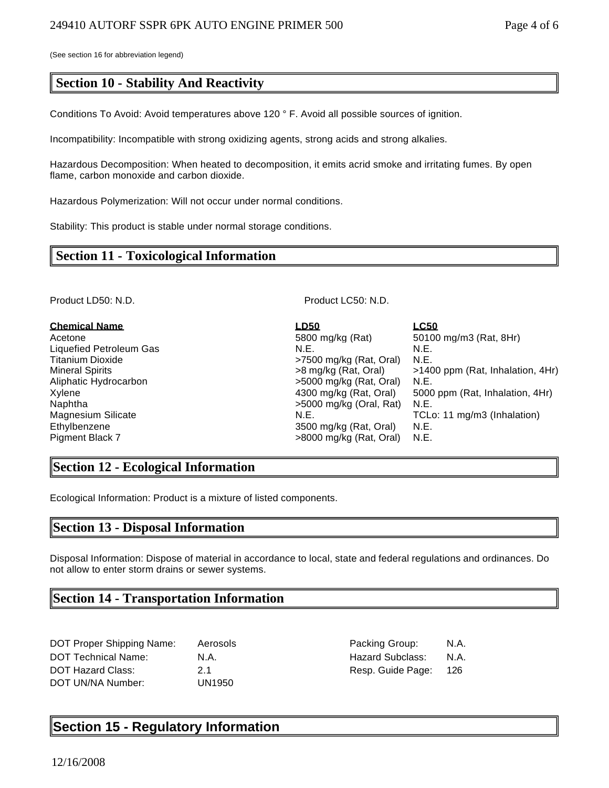(See section 16 for abbreviation legend)

## **Section 10 - Stability And Reactivity**

Conditions To Avoid: Avoid temperatures above 120 ° F. Avoid all possible sources of ignition.

Incompatibility: Incompatible with strong oxidizing agents, strong acids and strong alkalies.

Hazardous Decomposition: When heated to decomposition, it emits acrid smoke and irritating fumes. By open flame, carbon monoxide and carbon dioxide.

Hazardous Polymerization: Will not occur under normal conditions.

Stability: This product is stable under normal storage conditions.

### **Section 11 - Toxicological Information**

Product LD50: N.D. **Product LC50: N.D.** Product LC50: N.D.

| <u>Chemical Name</u>           | <b>LD50</b>               | <b>LC50</b>                      |
|--------------------------------|---------------------------|----------------------------------|
| Acetone                        | 5800 mg/kg (Rat)          | 50100 mg/m3 (Rat, 8Hr)           |
| <b>Liquefied Petroleum Gas</b> | N.E.                      | N.E.                             |
| Titanium Dioxide               | >7500 mg/kg (Rat. Oral)   | N.E.                             |
| Mineral Spirits                | >8 mg/kg (Rat, Oral)      | >1400 ppm (Rat, Inhalation, 4Hr) |
| Aliphatic Hydrocarbon          | $>5000$ mg/kg (Rat, Oral) | N.E.                             |
| Xylene                         | 4300 mg/kg (Rat, Oral)    | 5000 ppm (Rat, Inhalation, 4Hr)  |
| Naphtha                        | $>5000$ mg/kg (Oral, Rat) | N.E.                             |
| Magnesium Silicate             | N.E.                      | TCLo: 11 mg/m3 (Inhalation)      |
| Ethylbenzene                   | 3500 mg/kg (Rat, Oral)    | N.E.                             |
| Pigment Black 7                | $>8000$ mg/kg (Rat, Oral) | N.E.                             |

#### **Section 12 - Ecological Information**

Ecological Information: Product is a mixture of listed components.

#### **Section 13 - Disposal Information**

Disposal Information: Dispose of material in accordance to local, state and federal regulations and ordinances. Do not allow to enter storm drains or sewer systems.

## **Section 14 - Transportation Information**

DOT Proper Shipping Name: Aerosols **Packing Group:** N.A. DOT Technical Name: N.A. N.A. Hazard Subclass: N.A. DOT Hazard Class: 2.1 2.1 Resp. Guide Page: 126 DOT UN/NA Number: UN1950

# **Section 15 - Regulatory Information**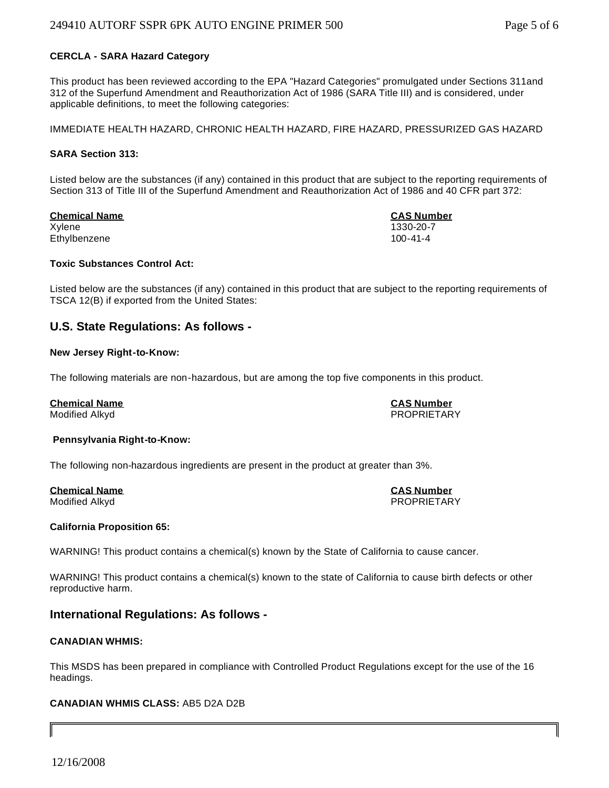II

#### **CERCLA - SARA Hazard Category**

This product has been reviewed according to the EPA "Hazard Categories" promulgated under Sections 311and 312 of the Superfund Amendment and Reauthorization Act of 1986 (SARA Title III) and is considered, under applicable definitions, to meet the following categories:

IMMEDIATE HEALTH HAZARD, CHRONIC HEALTH HAZARD, FIRE HAZARD, PRESSURIZED GAS HAZARD

#### **SARA Section 313:**

Listed below are the substances (if any) contained in this product that are subject to the reporting requirements of Section 313 of Title III of the Superfund Amendment and Reauthorization Act of 1986 and 40 CFR part 372:

**Chemical Name CAS Number** Xylene 1330-20-7 Ethylbenzene 100-41-4

#### **Toxic Substances Control Act:**

Listed below are the substances (if any) contained in this product that are subject to the reporting requirements of TSCA 12(B) if exported from the United States:

#### **U.S. State Regulations: As follows -**

#### **New Jersey Right-to-Know:**

The following materials are non-hazardous, but are among the top five components in this product.

# **Chemical Name CAS Number**

Modified Alkyd PROPRIETARY

#### **Pennsylvania Right-to-Know:**

The following non-hazardous ingredients are present in the product at greater than 3%.

# **Chemical Name CAS Number**

Modified Alkyd PROPRIETARY

#### **California Proposition 65:**

WARNING! This product contains a chemical(s) known by the State of California to cause cancer.

WARNING! This product contains a chemical(s) known to the state of California to cause birth defects or other reproductive harm.

#### **International Regulations: As follows -**

#### **CANADIAN WHMIS:**

This MSDS has been prepared in compliance with Controlled Product Regulations except for the use of the 16 headings.

#### **CANADIAN WHMIS CLASS:** AB5 D2A D2B

12/16/2008